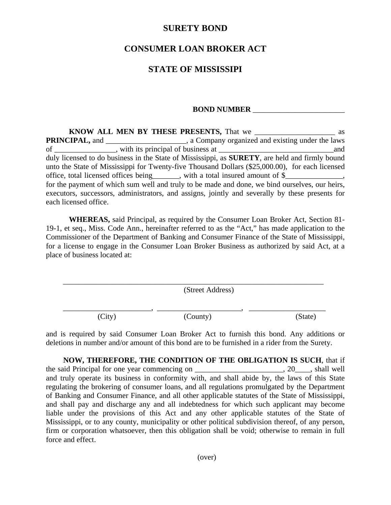## **SURETY BOND**

## **CONSUMER LOAN BROKER ACT**

## **STATE OF MISSISSIPI**

## **BOND NUMBER** \_\_\_\_\_\_\_\_\_\_\_\_\_\_\_\_\_\_\_\_\_\_\_\_

|                       | duly licensed to do business in the State of Mississippi, as SURETY, are held and firmly bound                                                                                                    |  |
|-----------------------|---------------------------------------------------------------------------------------------------------------------------------------------------------------------------------------------------|--|
|                       | unto the State of Mississippi for Twenty-five Thousand Dollars (\$25,000.00), for each licensed                                                                                                   |  |
|                       | office, total licensed offices being ______, with a total insured amount of \$____________,                                                                                                       |  |
| each licensed office. | for the payment of which sum well and truly to be made and done, we bind ourselves, our heirs,<br>executors, successors, administrators, and assigns, jointly and severally by these presents for |  |

**WHEREAS,** said Principal, as required by the Consumer Loan Broker Act, Section 81- 19-1, et seq., Miss. Code Ann., hereinafter referred to as the "Act," has made application to the Commissioner of the Department of Banking and Consumer Finance of the State of Mississippi, for a license to engage in the Consumer Loan Broker Business as authorized by said Act, at a place of business located at:

\_\_\_\_\_\_\_\_\_\_\_\_\_\_\_\_\_\_\_\_\_\_\_\_\_\_\_\_\_\_\_\_\_\_\_\_\_\_\_\_\_\_\_\_\_\_\_\_\_\_\_\_\_\_\_\_\_\_\_\_\_\_\_\_\_\_\_\_ (Street Address) \_\_\_\_\_\_\_\_\_\_\_\_\_\_\_\_\_\_\_\_\_\_\_, \_\_\_\_\_\_\_\_\_\_\_\_\_\_\_\_\_\_\_\_\_\_, \_\_\_\_\_\_\_\_\_\_\_\_\_\_\_\_\_\_\_\_ (City) (County) (State)

and is required by said Consumer Loan Broker Act to furnish this bond. Any additions or deletions in number and/or amount of this bond are to be furnished in a rider from the Surety.

**NOW, THEREFORE, THE CONDITION OF THE OBLIGATION IS SUCH**, that if the said Principal for one year commencing on  $\qquad \qquad$ , 20. shall well and truly operate its business in conformity with, and shall abide by, the laws of this State regulating the brokering of consumer loans, and all regulations promulgated by the Department of Banking and Consumer Finance, and all other applicable statutes of the State of Mississippi, and shall pay and discharge any and all indebtedness for which such applicant may become liable under the provisions of this Act and any other applicable statutes of the State of Mississippi, or to any county, municipality or other political subdivision thereof, of any person, firm or corporation whatsoever, then this obligation shall be void; otherwise to remain in full force and effect.

(over)